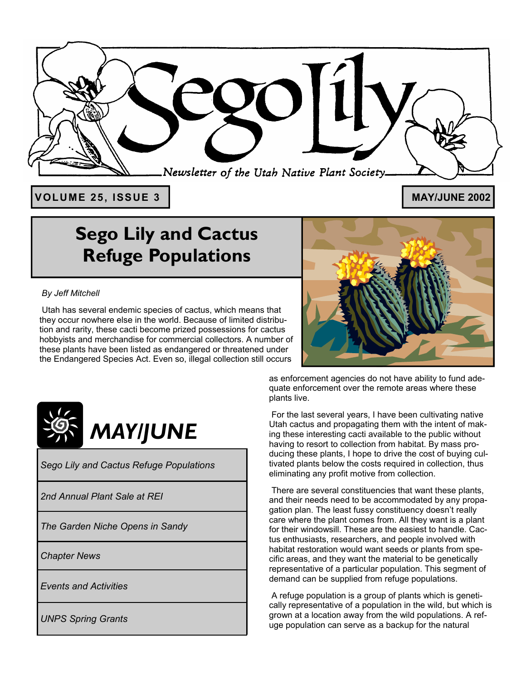

**VOLUME 25, ISSUE 3** 

#### **MAY/JUNE 2002**

# **Sego Lily and Cactus Refuge Populations**

#### *By Jeff Mitchell*

 Utah has several endemic species of cactus, which means that they occur nowhere else in the world. Because of limited distribution and rarity, these cacti become prized possessions for cactus hobbyists and merchandise for commercial collectors. A number of these plants have been listed as endangered or threatened under the Endangered Species Act. Even so, illegal collection still occurs



*Sego Lily and Cactus Refuge Populations* 

*2nd Annual Plant Sale at REI* 

*The Garden Niche Opens in Sandy* 

*Chapter News* 

*Events and Activities* 

*UNPS Spring Grants* 



as enforcement agencies do not have ability to fund adequate enforcement over the remote areas where these plants live.

 For the last several years, I have been cultivating native Utah cactus and propagating them with the intent of making these interesting cacti available to the public without having to resort to collection from habitat. By mass producing these plants, I hope to drive the cost of buying cultivated plants below the costs required in collection, thus eliminating any profit motive from collection.

 There are several constituencies that want these plants, and their needs need to be accommodated by any propagation plan. The least fussy constituency doesn't really care where the plant comes from. All they want is a plant for their windowsill. These are the easiest to handle. Cactus enthusiasts, researchers, and people involved with habitat restoration would want seeds or plants from specific areas, and they want the material to be genetically representative of a particular population. This segment of demand can be supplied from refuge populations.

 A refuge population is a group of plants which is genetically representative of a population in the wild, but which is grown at a location away from the wild populations. A refuge population can serve as a backup for the natural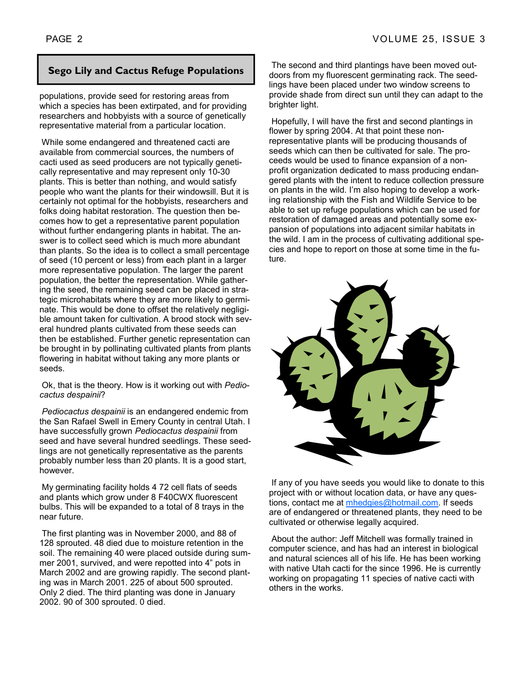populations, provide seed for restoring areas from which a species has been extirpated, and for providing researchers and hobbyists with a source of genetically representative material from a particular location.

 While some endangered and threatened cacti are available from commercial sources, the numbers of cacti used as seed producers are not typically genetically representative and may represent only 10-30 plants. This is better than nothing, and would satisfy people who want the plants for their windowsill. But it is certainly not optimal for the hobbyists, researchers and folks doing habitat restoration. The question then becomes how to get a representative parent population without further endangering plants in habitat. The answer is to collect seed which is much more abundant than plants. So the idea is to collect a small percentage of seed (10 percent or less) from each plant in a larger more representative population. The larger the parent population, the better the representation. While gathering the seed, the remaining seed can be placed in strategic microhabitats where they are more likely to germinate. This would be done to offset the relatively negligible amount taken for cultivation. A brood stock with several hundred plants cultivated from these seeds can then be established. Further genetic representation can be brought in by pollinating cultivated plants from plants flowering in habitat without taking any more plants or seeds.

 Ok, that is the theory. How is it working out with *Pediocactus despainii*?

*Pediocactus despainii* is an endangered endemic from the San Rafael Swell in Emery County in central Utah. I have successfully grown *Pediocactus despainii* from seed and have several hundred seedlings. These seedlings are not genetically representative as the parents probably number less than 20 plants. It is a good start, however.

 My germinating facility holds 4 72 cell flats of seeds and plants which grow under 8 F40CWX fluorescent bulbs. This will be expanded to a total of 8 trays in the near future.

 The first planting was in November 2000, and 88 of 128 sprouted. 48 died due to moisture retention in the soil. The remaining 40 were placed outside during summer 2001, survived, and were repotted into 4" pots in March 2002 and are growing rapidly. The second planting was in March 2001. 225 of about 500 sprouted. Only 2 died. The third planting was done in January 2002. 90 of 300 sprouted. 0 died.

**Sego Lily and Cactus Refuge Populations** The second and third plantings have been moved out-<br>doors from my fluorescent germinating rack. The seed doors from my fluorescent germinating rack. The seedlings have been placed under two window screens to provide shade from direct sun until they can adapt to the brighter light.

> Hopefully, I will have the first and second plantings in flower by spring 2004. At that point these nonrepresentative plants will be producing thousands of seeds which can then be cultivated for sale. The proceeds would be used to finance expansion of a nonprofit organization dedicated to mass producing endangered plants with the intent to reduce collection pressure on plants in the wild. Iím also hoping to develop a working relationship with the Fish and Wildlife Service to be able to set up refuge populations which can be used for restoration of damaged areas and potentially some expansion of populations into adjacent similar habitats in the wild. I am in the process of cultivating additional species and hope to report on those at some time in the future.



 If any of you have seeds you would like to donate to this project with or without location data, or have any questions, contact me at mhedgies@hotmail.com. If seeds are of endangered or threatened plants, they need to be cultivated or otherwise legally acquired.

 About the author: Jeff Mitchell was formally trained in computer science, and has had an interest in biological and natural sciences all of his life. He has been working with native Utah cacti for the since 1996. He is currently working on propagating 11 species of native cacti with others in the works.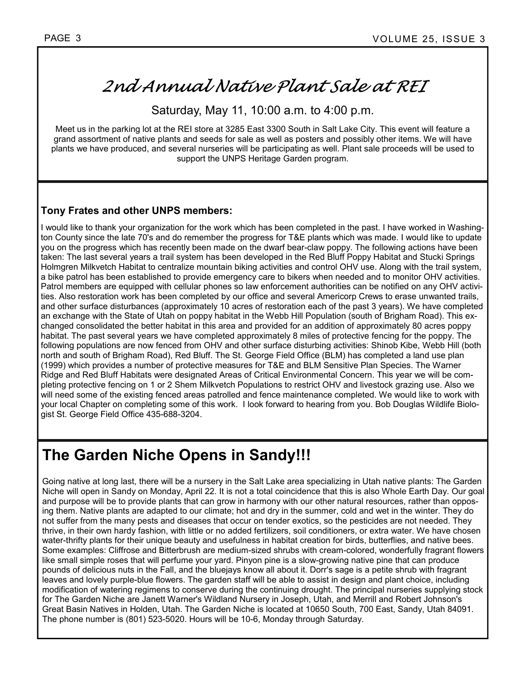## 2nd Annual Native Plant Sale at REI

Saturday, May 11, 10:00 a.m. to 4:00 p.m.

Meet us in the parking lot at the REI store at 3285 East 3300 South in Salt Lake City. This event will feature a grand assortment of native plants and seeds for sale as well as posters and possibly other items. We will have plants we have produced, and several nurseries will be participating as well. Plant sale proceeds will be used to support the UNPS Heritage Garden program.

#### **Tony Frates and other UNPS members:**

I would like to thank your organization for the work which has been completed in the past. I have worked in Washington County since the late 70's and do remember the progress for T&E plants which was made. I would like to update you on the progress which has recently been made on the dwarf bear-claw poppy. The following actions have been taken: The last several years a trail system has been developed in the Red Bluff Poppy Habitat and Stucki Springs Holmgren Milkvetch Habitat to centralize mountain biking activities and control OHV use. Along with the trail system, a bike patrol has been established to provide emergency care to bikers when needed and to monitor OHV activities. Patrol members are equipped with cellular phones so law enforcement authorities can be notified on any OHV activities. Also restoration work has been completed by our office and several Americorp Crews to erase unwanted trails, and other surface disturbances (approximately 10 acres of restoration each of the past 3 years). We have completed an exchange with the State of Utah on poppy habitat in the Webb Hill Population (south of Brigham Road). This exchanged consolidated the better habitat in this area and provided for an addition of approximately 80 acres poppy habitat. The past several years we have completed approximately 8 miles of protective fencing for the poppy. The following populations are now fenced from OHV and other surface disturbing activities: Shinob Kibe, Webb Hill (both north and south of Brigham Road), Red Bluff. The St. George Field Office (BLM) has completed a land use plan (1999) which provides a number of protective measures for T&E and BLM Sensitive Plan Species. The Warner Ridge and Red Bluff Habitats were designated Areas of Critical Environmental Concern. This year we will be completing protective fencing on 1 or 2 Shem Milkvetch Populations to restrict OHV and livestock grazing use. Also we will need some of the existing fenced areas patrolled and fence maintenance completed. We would like to work with your local Chapter on completing some of this work. I look forward to hearing from you. Bob Douglas Wildlife Biologist St. George Field Office 435-688-3204.

## **The Garden Niche Opens in Sandy!!!**

Going native at long last, there will be a nursery in the Salt Lake area specializing in Utah native plants: The Garden Niche will open in Sandy on Monday, April 22. It is not a total coincidence that this is also Whole Earth Day. Our goal and purpose will be to provide plants that can grow in harmony with our other natural resources, rather than opposing them. Native plants are adapted to our climate; hot and dry in the summer, cold and wet in the winter. They do not suffer from the many pests and diseases that occur on tender exotics, so the pesticides are not needed. They thrive, in their own hardy fashion, with little or no added fertilizers, soil conditioners, or extra water. We have chosen water-thrifty plants for their unique beauty and usefulness in habitat creation for birds, butterflies, and native bees. Some examples: Cliffrose and Bitterbrush are medium-sized shrubs with cream-colored, wonderfully fragrant flowers like small simple roses that will perfume your yard. Pinyon pine is a slow-growing native pine that can produce pounds of delicious nuts in the Fall, and the bluejays know all about it. Dorr's sage is a petite shrub with fragrant leaves and lovely purple-blue flowers. The garden staff will be able to assist in design and plant choice, including modification of watering regimens to conserve during the continuing drought. The principal nurseries supplying stock for The Garden Niche are Janett Warner's Wildland Nursery in Joseph, Utah, and Merrill and Robert Johnson's Great Basin Natives in Holden, Utah. The Garden Niche is located at 10650 South, 700 East, Sandy, Utah 84091. The phone number is (801) 523-5020. Hours will be 10-6, Monday through Saturday.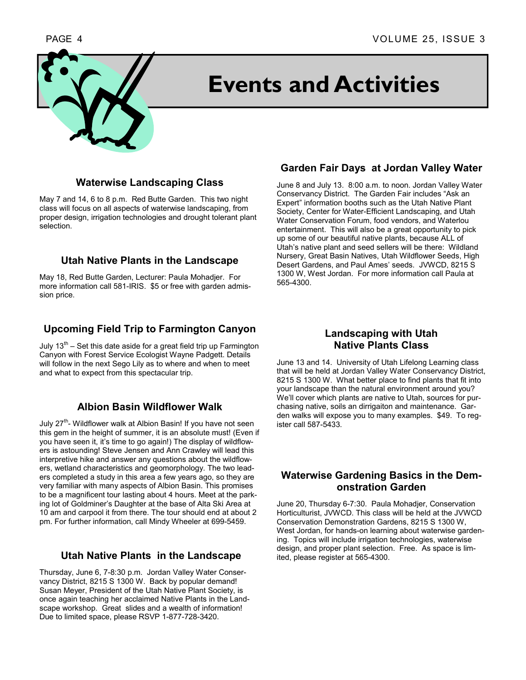# **Events and Activities**

#### **Waterwise Landscaping Class**

May 7 and 14, 6 to 8 p.m. Red Butte Garden. This two night class will focus on all aspects of waterwise landscaping, from proper design, irrigation technologies and drought tolerant plant selection.

#### **Utah Native Plants in the Landscape**

May 18, Red Butte Garden, Lecturer: Paula Mohadjer. For more information call 581-IRIS. \$5 or free with garden admission price.

### **Upcoming Field Trip to Farmington Canyon**

July  $13<sup>th</sup>$  – Set this date aside for a great field trip up Farmington Canyon with Forest Service Ecologist Wayne Padgett. Details will follow in the next Sego Lily as to where and when to meet and what to expect from this spectacular trip.

#### **Albion Basin Wildflower Walk**

July 27<sup>th</sup>- Wildflower walk at Albion Basin! If you have not seen this gem in the height of summer, it is an absolute must! (Even if you have seen it, it's time to go again!) The display of wildflowers is astounding! Steve Jensen and Ann Crawley will lead this interpretive hike and answer any questions about the wildflowers, wetland characteristics and geomorphology. The two leaders completed a study in this area a few years ago, so they are very familiar with many aspects of Albion Basin. This promises to be a magnificent tour lasting about 4 hours. Meet at the parking lot of Goldminerís Daughter at the base of Alta Ski Area at 10 am and carpool it from there. The tour should end at about 2 pm. For further information, call Mindy Wheeler at 699-5459.

#### **Utah Native Plants in the Landscape**

Thursday, June 6, 7-8:30 p.m. Jordan Valley Water Conservancy District, 8215 S 1300 W. Back by popular demand! Susan Meyer, President of the Utah Native Plant Society, is once again teaching her acclaimed Native Plants in the Landscape workshop. Great slides and a wealth of information! Due to limited space, please RSVP 1-877-728-3420.

### **Garden Fair Days at Jordan Valley Water**

June 8 and July 13. 8:00 a.m. to noon. Jordan Valley Water Conservancy District. The Garden Fair includes "Ask an Expert" information booths such as the Utah Native Plant Society, Center for Water-Efficient Landscaping, and Utah Water Conservation Forum, food vendors, and Waterlou entertainment. This will also be a great opportunity to pick up some of our beautiful native plants, because ALL of Utah's native plant and seed sellers will be there: Wildland Nursery, Great Basin Natives, Utah Wildflower Seeds, High Desert Gardens, and Paul Ames' seeds. JVWCD, 8215 S 1300 W, West Jordan. For more information call Paula at 565-4300.

#### **Landscaping with Utah Native Plants Class**

June 13 and 14. University of Utah Lifelong Learning class that will be held at Jordan Valley Water Conservancy District, 8215 S 1300 W. What better place to find plants that fit into your landscape than the natural environment around you? Weíll cover which plants are native to Utah, sources for purchasing native, soils an dirrigaiton and maintenance. Garden walks will expose you to many examples. \$49. To register call 587-5433.

#### **Waterwise Gardening Basics in the Demonstration Garden**

June 20, Thursday 6-7:30. Paula Mohadjer, Conservation Horticulturist, JVWCD. This class will be held at the JVWCD Conservation Demonstration Gardens, 8215 S 1300 W, West Jordan, for hands-on learning about waterwise gardening. Topics will include irrigation technologies, waterwise design, and proper plant selection. Free. As space is limited, please register at 565-4300.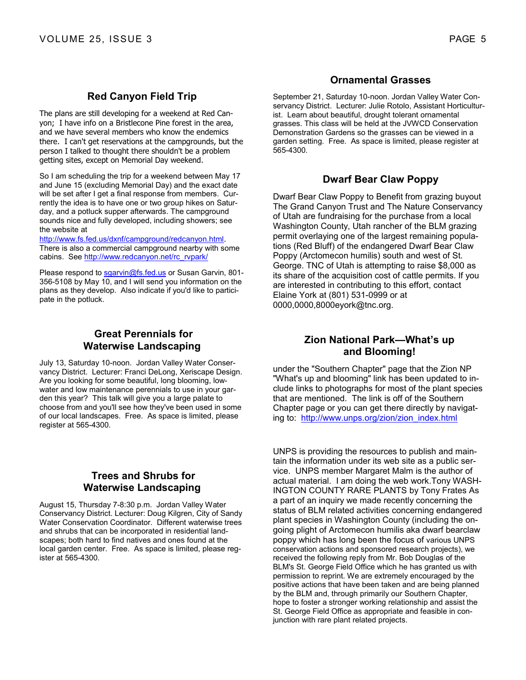#### **Red Canyon Field Trip**

The plans are still developing for a weekend at Red Canyon; I have info on a Bristlecone Pine forest in the area, and we have several members who know the endemics there. I can't get reservations at the campgrounds, but the person I talked to thought there shouldn't be a problem getting sites, except on Memorial Day weekend.

So I am scheduling the trip for a weekend between May 17 and June 15 (excluding Memorial Day) and the exact date will be set after I get a final response from members. Currently the idea is to have one or two group hikes on Saturday, and a potluck supper afterwards. The campground sounds nice and fully developed, including showers; see the website at

http://www.fs.fed.us/dxnf/campground/redcanyon.html. There is also a commercial campground nearby with some cabins. See http://www.redcanyon.net/rc\_rvpark/

Please respond to sgarvin@fs.fed.us or Susan Garvin, 801-356-5108 by May 10, and I will send you information on the plans as they develop. Also indicate if you'd like to participate in the potluck.

#### **Great Perennials for Waterwise Landscaping**

July 13, Saturday 10-noon. Jordan Valley Water Conservancy District. Lecturer: Franci DeLong, Xeriscape Design. Are you looking for some beautiful, long blooming, lowwater and low maintenance perennials to use in your garden this year? This talk will give you a large palate to choose from and you'll see how they've been used in some of our local landscapes. Free. As space is limited, please register at 565-4300.

#### **Trees and Shrubs for Waterwise Landscaping**

August 15, Thursday 7-8:30 p.m. Jordan Valley Water Conservancy District. Lecturer: Doug Kilgren, City of Sandy Water Conservation Coordinator. Different waterwise trees and shrubs that can be incorporated in residential landscapes; both hard to find natives and ones found at the local garden center. Free. As space is limited, please register at 565-4300.

#### **Ornamental Grasses**

September 21, Saturday 10-noon. Jordan Valley Water Conservancy District. Lecturer: Julie Rotolo, Assistant Horticulturist. Learn about beautiful, drought tolerant ornamental grasses. This class will be held at the JVWCD Conservation Demonstration Gardens so the grasses can be viewed in a garden setting. Free. As space is limited, please register at 565-4300.

#### **Dwarf Bear Claw Poppy**

Dwarf Bear Claw Poppy to Benefit from grazing buyout The Grand Canyon Trust and The Nature Conservancy of Utah are fundraising for the purchase from a local Washington County, Utah rancher of the BLM grazing permit overlaying one of the largest remaining populations (Red Bluff) of the endangered Dwarf Bear Claw Poppy (Arctomecon humilis) south and west of St. George. TNC of Utah is attempting to raise \$8,000 as its share of the acquisition cost of cattle permits. If you are interested in contributing to this effort, contact Elaine York at (801) 531-0999 or at 0000,0000,8000eyork@tnc.org.

#### **Zion National Park-What's up and Blooming!**

under the "Southern Chapter" page that the Zion NP "What's up and blooming" link has been updated to include links to photographs for most of the plant species that are mentioned. The link is off of the Southern Chapter page or you can get there directly by navigating to: http://www.unps.org/zion/zion\_index.html

UNPS is providing the resources to publish and maintain the information under its web site as a public service. UNPS member Margaret Malm is the author of actual material. I am doing the web work.Tony WASH-INGTON COUNTY RARE PLANTS by Tony Frates As a part of an inquiry we made recently concerning the status of BLM related activities concerning endangered plant species in Washington County (including the ongoing plight of Arctomecon humilis aka dwarf bearclaw poppy which has long been the focus of various UNPS conservation actions and sponsored research projects), we received the following reply from Mr. Bob Douglas of the BLM's St. George Field Office which he has granted us with permission to reprint. We are extremely encouraged by the positive actions that have been taken and are being planned by the BLM and, through primarily our Southern Chapter, hope to foster a stronger working relationship and assist the St. George Field Office as appropriate and feasible in conjunction with rare plant related projects.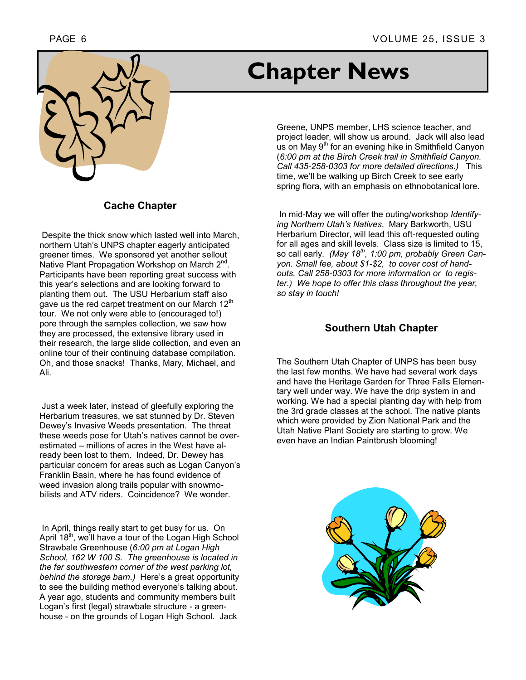



#### **Cache Chapter**

 Despite the thick snow which lasted well into March, northern Utah's UNPS chapter eagerly anticipated greener times. We sponsored yet another sellout Native Plant Propagation Workshop on March 2<sup>nd</sup>. Participants have been reporting great success with this year's selections and are looking forward to planting them out. The USU Herbarium staff also gave us the red carpet treatment on our March 12<sup>th</sup> tour. We not only were able to (encouraged to!) pore through the samples collection, we saw how they are processed, the extensive library used in their research, the large slide collection, and even an online tour of their continuing database compilation. Oh, and those snacks! Thanks, Mary, Michael, and Ali.

 Just a week later, instead of gleefully exploring the Herbarium treasures, we sat stunned by Dr. Steven Deweyís Invasive Weeds presentation. The threat these weeds pose for Utah's natives cannot be overestimated – millions of acres in the West have already been lost to them. Indeed, Dr. Dewey has particular concern for areas such as Logan Canyon's Franklin Basin, where he has found evidence of weed invasion along trails popular with snowmobilists and ATV riders. Coincidence? We wonder.

 In April, things really start to get busy for us. On April 18<sup>th</sup>, we'll have a tour of the Logan High School Strawbale Greenhouse (*6:00 pm at Logan High School, 162 W 100 S. The greenhouse is located in the far southwestern corner of the west parking lot, behind the storage barn.)* Hereís a great opportunity to see the building method everyone's talking about. A year ago, students and community members built Logan's first (legal) strawbale structure - a greenhouse - on the grounds of Logan High School. Jack

# **Chapter News**

Greene, UNPS member, LHS science teacher, and project leader, will show us around. Jack will also lead us on May 9<sup>th</sup> for an evening hike in Smithfield Canyon (*6:00 pm at the Birch Creek trail in Smithfield Canyon. Call 435-258-0303 for more detailed directions.)* This time, we'll be walking up Birch Creek to see early spring flora, with an emphasis on ethnobotanical lore.

 In mid-May we will offer the outing/workshop *Identifying Northern Utahís Natives*. Mary Barkworth, USU Herbarium Director, will lead this oft-requested outing for all ages and skill levels. Class size is limited to 15, so call early. *(May 18th, 1:00 pm, probably Green Canyon. Small fee, about \$1-\$2, to cover cost of handouts. Call 258-0303 for more information or to register.) We hope to offer this class throughout the year, so stay in touch!* 

#### **Southern Utah Chapter**

The Southern Utah Chapter of UNPS has been busy the last few months. We have had several work days and have the Heritage Garden for Three Falls Elementary well under way. We have the drip system in and working. We had a special planting day with help from the 3rd grade classes at the school. The native plants which were provided by Zion National Park and the Utah Native Plant Society are starting to grow. We even have an Indian Paintbrush blooming!

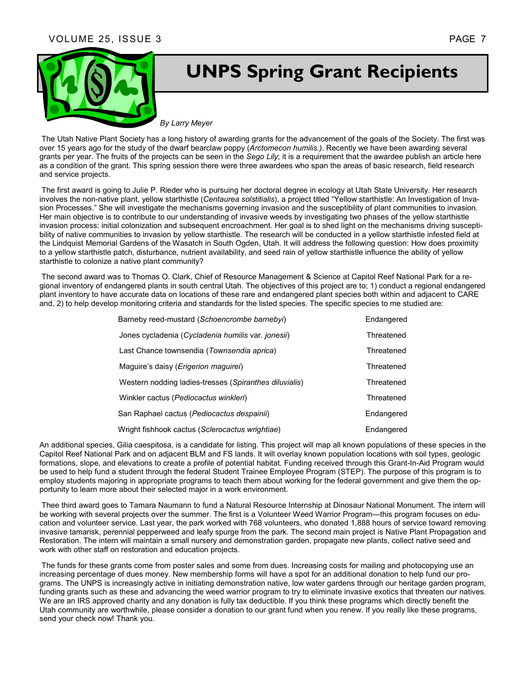

# **UNPS Spring Grant Recipients**

*By Larry Meyer* 

 The Utah Native Plant Society has a long history of awarding grants for the advancement of the goals of the Society. The first was over 15 years ago for the study of the dwarf bearclaw poppy (*Arctomecon humilis.)*. Recently we have been awarding several grants per year. The fruits of the projects can be seen in the *Sego Lily*; it is a requirement that the awardee publish an article here as a condition of the grant. This spring session there were three awardees who span the areas of basic research, field research and service projects.

 The first award is going to Julie P. Rieder who is pursuing her doctoral degree in ecology at Utah State University. Her research involves the non-native plant, yellow starthistle (Centaurea solstitialis), a project titled "Yellow starthistle: An Investigation of Invasion Processes." She will investigate the mechanisms governing invasion and the susceptibility of plant communities to invasion. Her main objective is to contribute to our understanding of invasive weeds by investigating two phases of the yellow starthistle invasion process: initial colonization and subsequent encroachment. Her goal is to shed light on the mechanisms driving susceptibility of native communities to invasion by yellow starthistle. The research will be conducted in a yellow starthistle infested field at the Lindquist Memorial Gardens of the Wasatch in South Ogden, Utah. It will address the following question: How does proximity to a yellow starthistle patch, disturbance, nutrient availability, and seed rain of yellow starthistle influence the ability of yellow starthistle to colonize a native plant community?

 The second award was to Thomas O. Clark, Chief of Resource Management & Science at Capitol Reef National Park for a regional inventory of endangered plants in south central Utah. The objectives of this project are to; 1) conduct a regional endangered plant inventory to have accurate data on locations of these rare and endangered plant species both within and adjacent to CARE and, 2) to help develop monitoring criteria and standards for the listed species. The specific species to me studied are:

| Barneby reed-mustard (Schoencrombe barnebyi)           | Endangered |
|--------------------------------------------------------|------------|
| Jones cycladenia (Cycladenia humilis var. jonesii)     | Threatened |
| Last Chance townsendia (Townsendia aprica)             | Threatened |
| Maguire's daisy ( <i>Erigerion maguirei</i> )          | Threatened |
| Western nodding ladies-tresses (Spiranthes diluvialis) | Threatened |
| Winkler cactus (Pediocactus winkleri)                  | Threatened |
| San Raphael cactus (Pediocactus despainii)             | Endangered |
| Wright fishhook cactus (Sclerocactus wrightiae)        | Endangered |

An additional species, Gilia caespitosa, is a candidate for listing. This project will map all known populations of these species in the Capitol Reef National Park and on adjacent BLM and FS lands. It will overlay known population locations with soil types, geologic formations, slope, and elevations to create a profile of potential habitat. Funding received through this Grant-In-Aid Program would be used to help fund a student through the federal Student Trainee Employee Program (STEP). The purpose of this program is to employ students majoring in appropriate programs to teach them about working for the federal government and give them the opportunity to learn more about their selected major in a work environment.

 Thee third award goes to Tamara Naumann to fund a Natural Resource Internship at Dinosaur National Monument. The intern will be working with several projects over the summer. The first is a Volunteer Weed Warrior Program—this program focuses on education and volunteer service. Last year, the park worked with 768 volunteers, who donated 1,888 hours of service toward removing invasive tamarisk, perennial pepperweed and leafy spurge from the park. The second main project is Native Plant Propagation and Restoration. The intern will maintain a small nursery and demonstration garden, propagate new plants, collect native seed and work with other staff on restoration and education projects.

 The funds for these grants come from poster sales and some from dues. Increasing costs for mailing and photocopying use an increasing percentage of dues money. New membership forms will have a spot for an additional donation to help fund our programs. The UNPS is increasingly active in initiating demonstration native, low water gardens through our heritage garden program, funding grants such as these and advancing the weed warrior program to try to eliminate invasive exotics that threaten our natives. We are an IRS approved charity and any donation is fully tax deductible. If you think these programs which directly benefit the Utah community are worthwhile, please consider a donation to our grant fund when you renew. If you really like these programs, send your check now! Thank you.